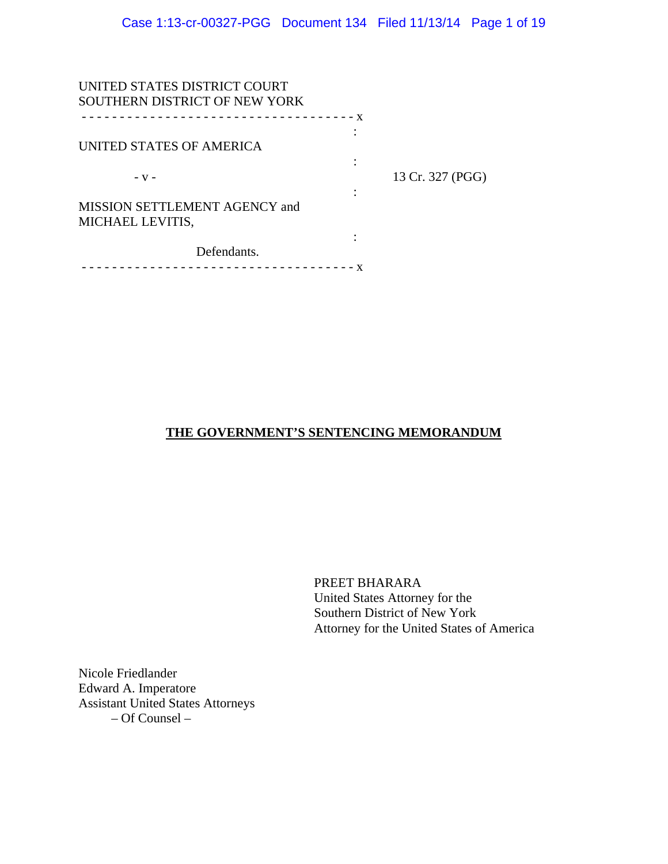| UNITED STATES DISTRICT COURT<br>SOUTHERN DISTRICT OF NEW YORK |                  |
|---------------------------------------------------------------|------------------|
| ----------------------------- X                               |                  |
| UNITED STATES OF AMERICA                                      |                  |
| $- V -$                                                       | 13 Cr. 327 (PGG) |
| MISSION SETTLEMENT AGENCY and<br>MICHAEL LEVITIS,             |                  |
| Defendants.<br><u> - - - - - - - - - -</u>                    |                  |

# **THE GOVERNMENT'S SENTENCING MEMORANDUM**

PREET BHARARA United States Attorney for the Southern District of New York Attorney for the United States of America

Nicole Friedlander Edward A. Imperatore Assistant United States Attorneys – Of Counsel –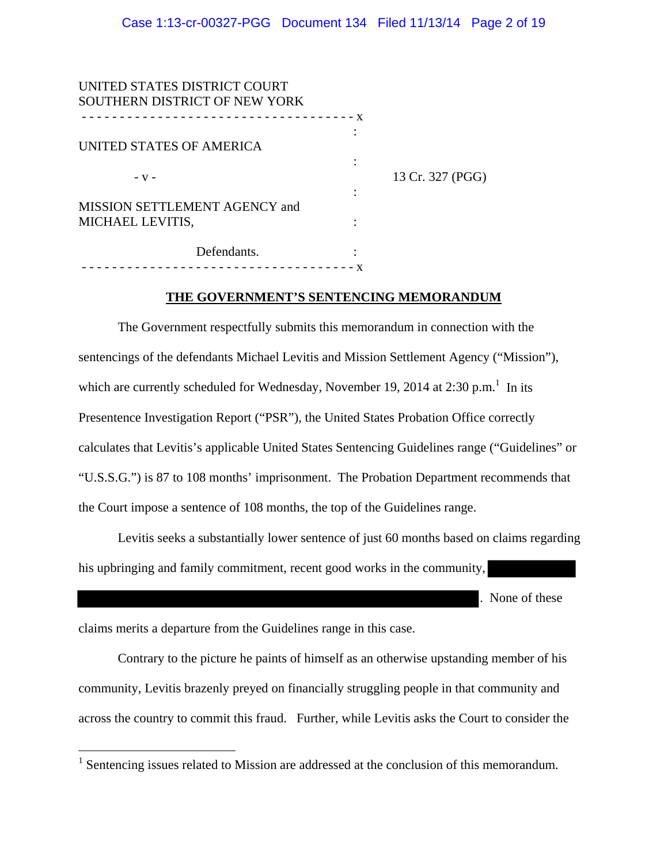| UNITED STATES DISTRICT COURT<br>SOUTHERN DISTRICT OF NEW YORK |                  |
|---------------------------------------------------------------|------------------|
| <u> - - - - - - - - - - - - -</u>                             |                  |
| UNITED STATES OF AMERICA                                      |                  |
| $-V -$                                                        | 13 Cr. 327 (PGG) |
| MISSION SETTLEMENT AGENCY and                                 |                  |
| MICHAEL LEVITIS,                                              |                  |
| Defendants.<br>- - - - - - - - - <b>-</b>                     |                  |

### **THE GOVERNMENT'S SENTENCING MEMORANDUM**

The Government respectfully submits this memorandum in connection with the sentencings of the defendants Michael Levitis and Mission Settlement Agency ("Mission"), which are currently scheduled for Wednesday, November 19, 2014 at 2:30 p.m.<sup>1</sup> In its Presentence Investigation Report ("PSR"), the United States Probation Office correctly calculates that Levitis's applicable United States Sentencing Guidelines range ("Guidelines" or "U.S.S.G.") is 87 to 108 months' imprisonment. The Probation Department recommends that the Court impose a sentence of 108 months, the top of the Guidelines range.

Levitis seeks a substantially lower sentence of just 60 months based on claims regarding his upbringing and family commitment, recent good works in the community,

. None of these

claims merits a departure from the Guidelines range in this case.

Contrary to the picture he paints of himself as an otherwise upstanding member of his community, Levitis brazenly preyed on financially struggling people in that community and across the country to commit this fraud. Further, while Levitis asks the Court to consider the

<sup>&</sup>lt;sup>1</sup> Sentencing issues related to Mission are addressed at the conclusion of this memorandum.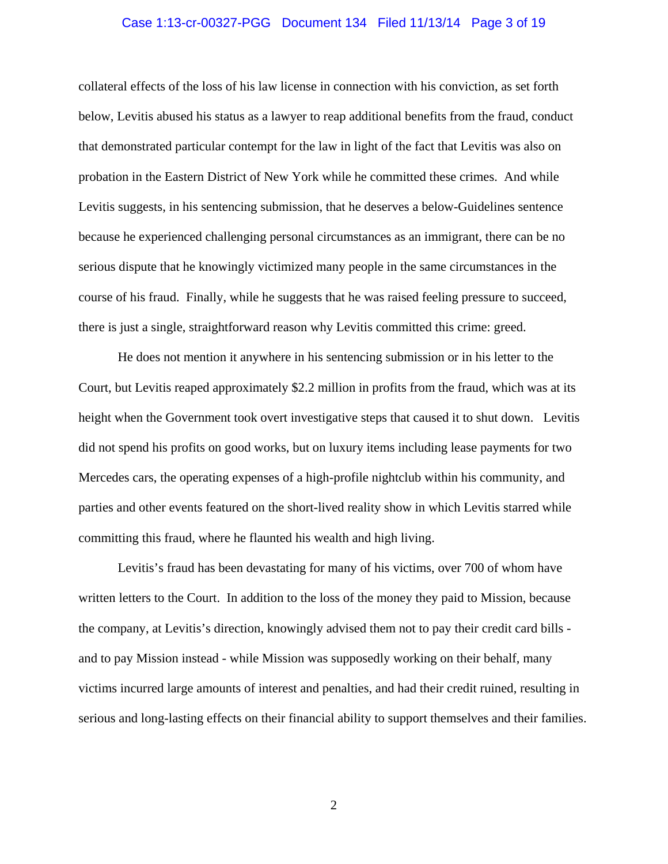### Case 1:13-cr-00327-PGG Document 134 Filed 11/13/14 Page 3 of 19

collateral effects of the loss of his law license in connection with his conviction, as set forth below, Levitis abused his status as a lawyer to reap additional benefits from the fraud, conduct that demonstrated particular contempt for the law in light of the fact that Levitis was also on probation in the Eastern District of New York while he committed these crimes. And while Levitis suggests, in his sentencing submission, that he deserves a below-Guidelines sentence because he experienced challenging personal circumstances as an immigrant, there can be no serious dispute that he knowingly victimized many people in the same circumstances in the course of his fraud. Finally, while he suggests that he was raised feeling pressure to succeed, there is just a single, straightforward reason why Levitis committed this crime: greed.

He does not mention it anywhere in his sentencing submission or in his letter to the Court, but Levitis reaped approximately \$2.2 million in profits from the fraud, which was at its height when the Government took overt investigative steps that caused it to shut down. Levitis did not spend his profits on good works, but on luxury items including lease payments for two Mercedes cars, the operating expenses of a high-profile nightclub within his community, and parties and other events featured on the short-lived reality show in which Levitis starred while committing this fraud, where he flaunted his wealth and high living.

Levitis's fraud has been devastating for many of his victims, over 700 of whom have written letters to the Court. In addition to the loss of the money they paid to Mission, because the company, at Levitis's direction, knowingly advised them not to pay their credit card bills and to pay Mission instead - while Mission was supposedly working on their behalf, many victims incurred large amounts of interest and penalties, and had their credit ruined, resulting in serious and long-lasting effects on their financial ability to support themselves and their families.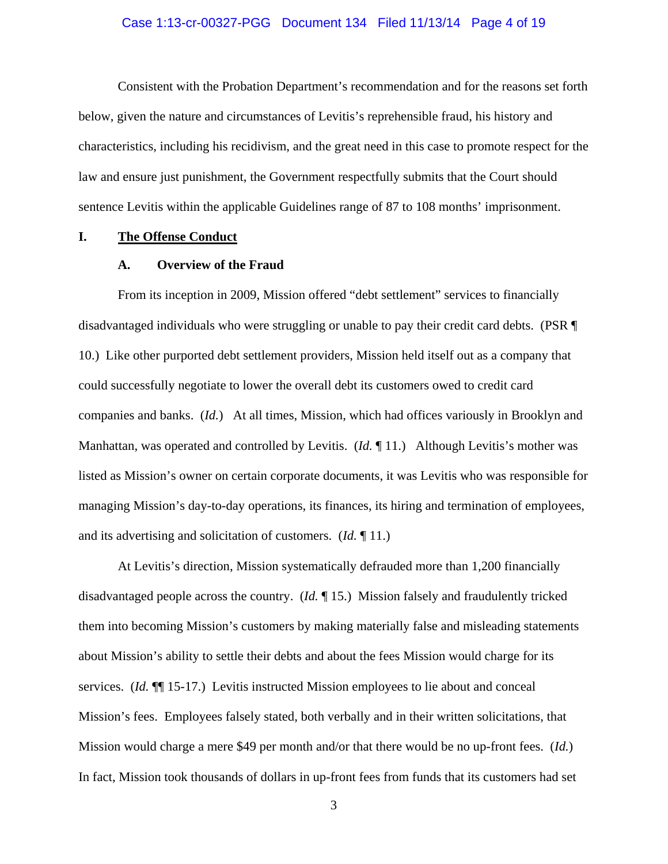### Case 1:13-cr-00327-PGG Document 134 Filed 11/13/14 Page 4 of 19

Consistent with the Probation Department's recommendation and for the reasons set forth below, given the nature and circumstances of Levitis's reprehensible fraud, his history and characteristics, including his recidivism, and the great need in this case to promote respect for the law and ensure just punishment, the Government respectfully submits that the Court should sentence Levitis within the applicable Guidelines range of 87 to 108 months' imprisonment.

### **I. The Offense Conduct**

### **A. Overview of the Fraud**

From its inception in 2009, Mission offered "debt settlement" services to financially disadvantaged individuals who were struggling or unable to pay their credit card debts. (PSR ¶ 10.) Like other purported debt settlement providers, Mission held itself out as a company that could successfully negotiate to lower the overall debt its customers owed to credit card companies and banks. (*Id.*) At all times, Mission, which had offices variously in Brooklyn and Manhattan, was operated and controlled by Levitis. (*Id.* ¶ 11.) Although Levitis's mother was listed as Mission's owner on certain corporate documents, it was Levitis who was responsible for managing Mission's day-to-day operations, its finances, its hiring and termination of employees, and its advertising and solicitation of customers. (*Id.* ¶ 11.)

At Levitis's direction, Mission systematically defrauded more than 1,200 financially disadvantaged people across the country. (*Id.* ¶ 15.) Mission falsely and fraudulently tricked them into becoming Mission's customers by making materially false and misleading statements about Mission's ability to settle their debts and about the fees Mission would charge for its services. (*Id.* ¶¶ 15-17.) Levitis instructed Mission employees to lie about and conceal Mission's fees. Employees falsely stated, both verbally and in their written solicitations, that Mission would charge a mere \$49 per month and/or that there would be no up-front fees. (*Id.*) In fact, Mission took thousands of dollars in up-front fees from funds that its customers had set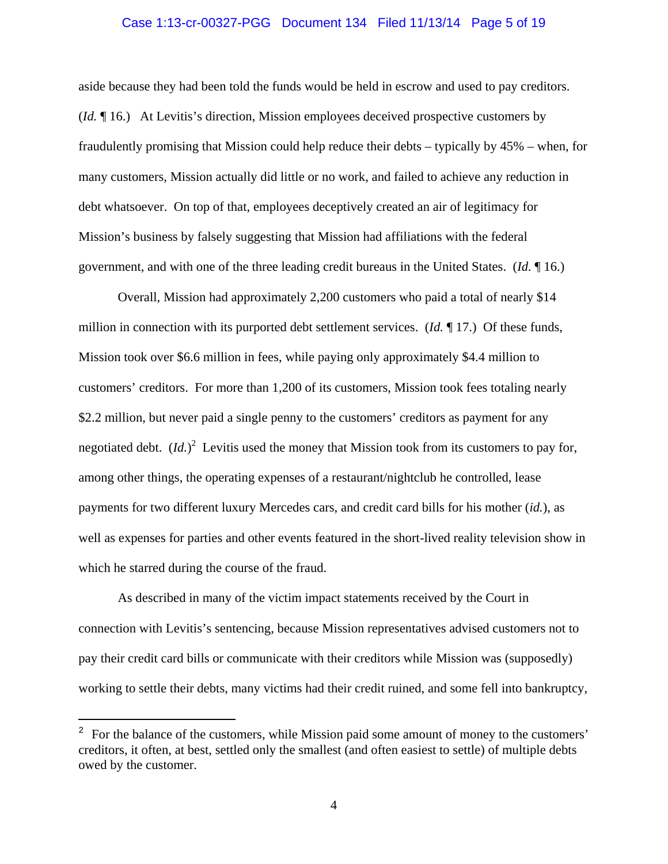#### Case 1:13-cr-00327-PGG Document 134 Filed 11/13/14 Page 5 of 19

aside because they had been told the funds would be held in escrow and used to pay creditors. (*Id.* ¶ 16.) At Levitis's direction, Mission employees deceived prospective customers by fraudulently promising that Mission could help reduce their debts – typically by 45% – when, for many customers, Mission actually did little or no work, and failed to achieve any reduction in debt whatsoever. On top of that, employees deceptively created an air of legitimacy for Mission's business by falsely suggesting that Mission had affiliations with the federal government, and with one of the three leading credit bureaus in the United States. (*Id.* ¶ 16.)

Overall, Mission had approximately 2,200 customers who paid a total of nearly \$14 million in connection with its purported debt settlement services. (*Id.* ¶ 17.) Of these funds, Mission took over \$6.6 million in fees, while paying only approximately \$4.4 million to customers' creditors. For more than 1,200 of its customers, Mission took fees totaling nearly \$2.2 million, but never paid a single penny to the customers' creditors as payment for any negotiated debt.  $(Id.)^2$  Levitis used the money that Mission took from its customers to pay for, among other things, the operating expenses of a restaurant/nightclub he controlled, lease payments for two different luxury Mercedes cars, and credit card bills for his mother (*id.*), as well as expenses for parties and other events featured in the short-lived reality television show in which he starred during the course of the fraud.

As described in many of the victim impact statements received by the Court in connection with Levitis's sentencing, because Mission representatives advised customers not to pay their credit card bills or communicate with their creditors while Mission was (supposedly) working to settle their debts, many victims had their credit ruined, and some fell into bankruptcy,

 $\overline{\phantom{0}}$ 

<sup>2</sup> For the balance of the customers, while Mission paid some amount of money to the customers' creditors, it often, at best, settled only the smallest (and often easiest to settle) of multiple debts owed by the customer.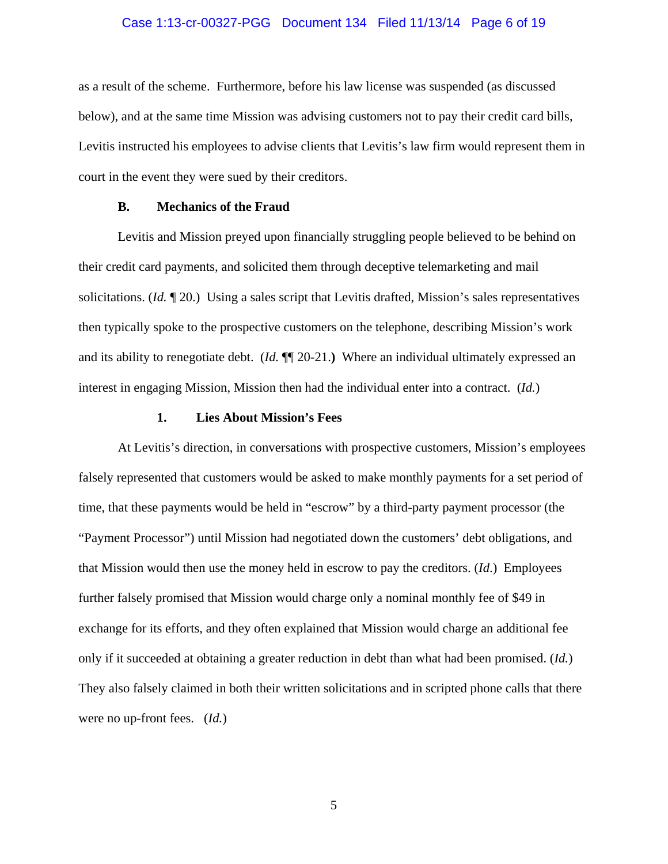### Case 1:13-cr-00327-PGG Document 134 Filed 11/13/14 Page 6 of 19

as a result of the scheme. Furthermore, before his law license was suspended (as discussed below), and at the same time Mission was advising customers not to pay their credit card bills, Levitis instructed his employees to advise clients that Levitis's law firm would represent them in court in the event they were sued by their creditors.

### **B. Mechanics of the Fraud**

Levitis and Mission preyed upon financially struggling people believed to be behind on their credit card payments, and solicited them through deceptive telemarketing and mail solicitations. (*Id.* ¶ 20.) Using a sales script that Levitis drafted, Mission's sales representatives then typically spoke to the prospective customers on the telephone, describing Mission's work and its ability to renegotiate debt. (*Id.* ¶¶ 20-21.**)** Where an individual ultimately expressed an interest in engaging Mission, Mission then had the individual enter into a contract. (*Id.*)

#### **1. Lies About Mission's Fees**

At Levitis's direction, in conversations with prospective customers, Mission's employees falsely represented that customers would be asked to make monthly payments for a set period of time, that these payments would be held in "escrow" by a third-party payment processor (the "Payment Processor") until Mission had negotiated down the customers' debt obligations, and that Mission would then use the money held in escrow to pay the creditors. (*Id*.) Employees further falsely promised that Mission would charge only a nominal monthly fee of \$49 in exchange for its efforts, and they often explained that Mission would charge an additional fee only if it succeeded at obtaining a greater reduction in debt than what had been promised. (*Id.*) They also falsely claimed in both their written solicitations and in scripted phone calls that there were no up-front fees. (*Id.*)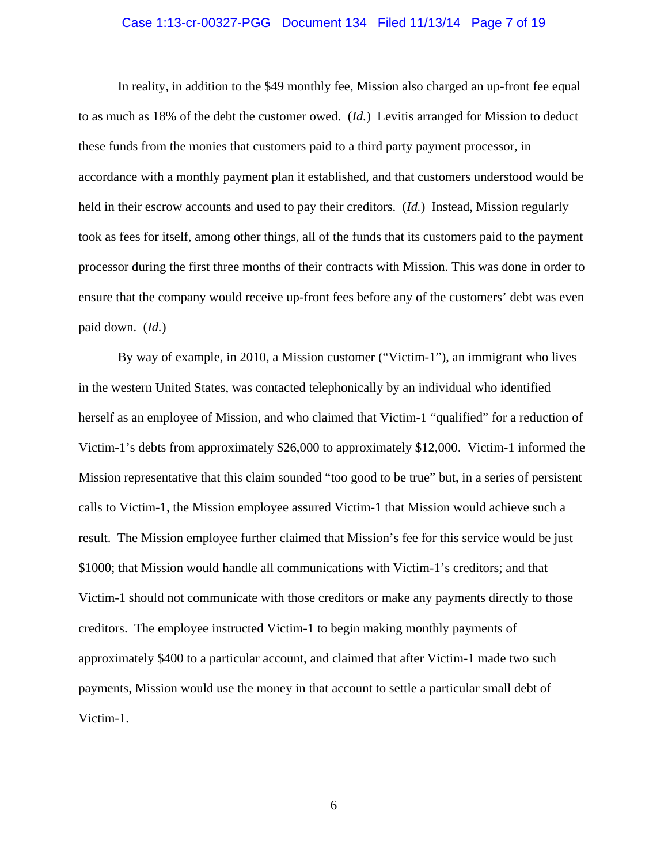### Case 1:13-cr-00327-PGG Document 134 Filed 11/13/14 Page 7 of 19

In reality, in addition to the \$49 monthly fee, Mission also charged an up-front fee equal to as much as 18% of the debt the customer owed. (*Id.*) Levitis arranged for Mission to deduct these funds from the monies that customers paid to a third party payment processor, in accordance with a monthly payment plan it established, and that customers understood would be held in their escrow accounts and used to pay their creditors. (*Id.*) Instead, Mission regularly took as fees for itself, among other things, all of the funds that its customers paid to the payment processor during the first three months of their contracts with Mission. This was done in order to ensure that the company would receive up-front fees before any of the customers' debt was even paid down. (*Id.*)

By way of example, in 2010, a Mission customer ("Victim-1"), an immigrant who lives in the western United States, was contacted telephonically by an individual who identified herself as an employee of Mission, and who claimed that Victim-1 "qualified" for a reduction of Victim-1's debts from approximately \$26,000 to approximately \$12,000. Victim-1 informed the Mission representative that this claim sounded "too good to be true" but, in a series of persistent calls to Victim-1, the Mission employee assured Victim-1 that Mission would achieve such a result. The Mission employee further claimed that Mission's fee for this service would be just \$1000; that Mission would handle all communications with Victim-1's creditors; and that Victim-1 should not communicate with those creditors or make any payments directly to those creditors. The employee instructed Victim-1 to begin making monthly payments of approximately \$400 to a particular account, and claimed that after Victim-1 made two such payments, Mission would use the money in that account to settle a particular small debt of Victim-1.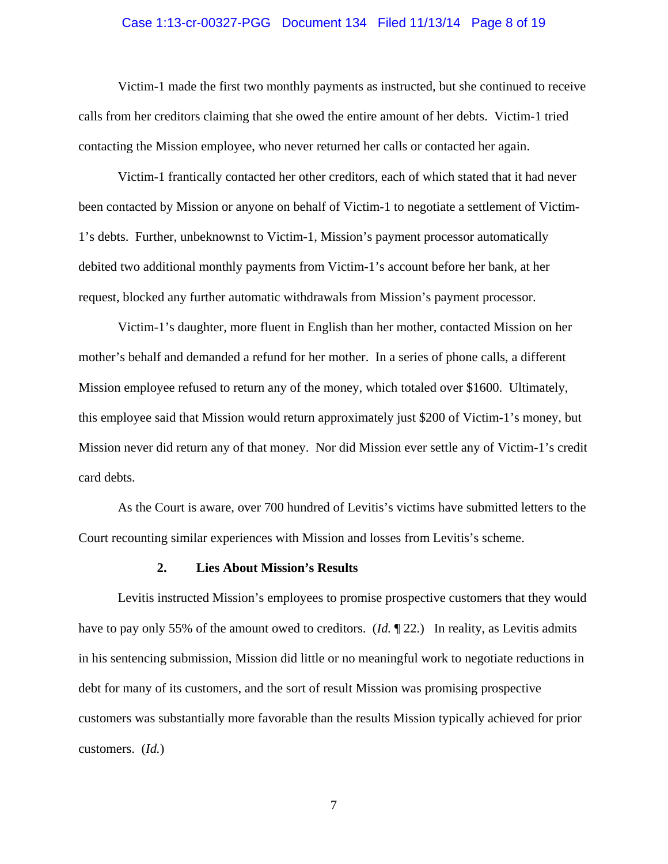### Case 1:13-cr-00327-PGG Document 134 Filed 11/13/14 Page 8 of 19

Victim-1 made the first two monthly payments as instructed, but she continued to receive calls from her creditors claiming that she owed the entire amount of her debts. Victim-1 tried contacting the Mission employee, who never returned her calls or contacted her again.

Victim-1 frantically contacted her other creditors, each of which stated that it had never been contacted by Mission or anyone on behalf of Victim-1 to negotiate a settlement of Victim-1's debts. Further, unbeknownst to Victim-1, Mission's payment processor automatically debited two additional monthly payments from Victim-1's account before her bank, at her request, blocked any further automatic withdrawals from Mission's payment processor.

Victim-1's daughter, more fluent in English than her mother, contacted Mission on her mother's behalf and demanded a refund for her mother. In a series of phone calls, a different Mission employee refused to return any of the money, which totaled over \$1600. Ultimately, this employee said that Mission would return approximately just \$200 of Victim-1's money, but Mission never did return any of that money. Nor did Mission ever settle any of Victim-1's credit card debts.

As the Court is aware, over 700 hundred of Levitis's victims have submitted letters to the Court recounting similar experiences with Mission and losses from Levitis's scheme.

### **2. Lies About Mission's Results**

Levitis instructed Mission's employees to promise prospective customers that they would have to pay only 55% of the amount owed to creditors. (*Id.* ¶ 22.) In reality, as Levitis admits in his sentencing submission, Mission did little or no meaningful work to negotiate reductions in debt for many of its customers, and the sort of result Mission was promising prospective customers was substantially more favorable than the results Mission typically achieved for prior customers. (*Id.*)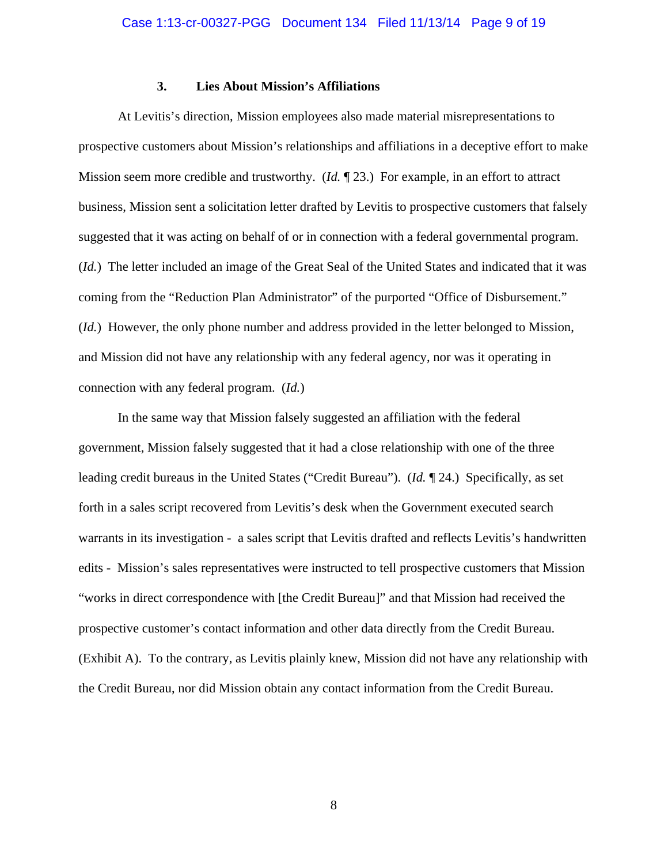### **3. Lies About Mission's Affiliations**

At Levitis's direction, Mission employees also made material misrepresentations to prospective customers about Mission's relationships and affiliations in a deceptive effort to make Mission seem more credible and trustworthy. (*Id.* ¶ 23.) For example, in an effort to attract business, Mission sent a solicitation letter drafted by Levitis to prospective customers that falsely suggested that it was acting on behalf of or in connection with a federal governmental program. (*Id.*) The letter included an image of the Great Seal of the United States and indicated that it was coming from the "Reduction Plan Administrator" of the purported "Office of Disbursement." (*Id.*) However, the only phone number and address provided in the letter belonged to Mission, and Mission did not have any relationship with any federal agency, nor was it operating in connection with any federal program. (*Id.*)

In the same way that Mission falsely suggested an affiliation with the federal government, Mission falsely suggested that it had a close relationship with one of the three leading credit bureaus in the United States ("Credit Bureau"). (*Id.* ¶ 24.) Specifically, as set forth in a sales script recovered from Levitis's desk when the Government executed search warrants in its investigation - a sales script that Levitis drafted and reflects Levitis's handwritten edits - Mission's sales representatives were instructed to tell prospective customers that Mission "works in direct correspondence with [the Credit Bureau]" and that Mission had received the prospective customer's contact information and other data directly from the Credit Bureau. (Exhibit A). To the contrary, as Levitis plainly knew, Mission did not have any relationship with the Credit Bureau, nor did Mission obtain any contact information from the Credit Bureau.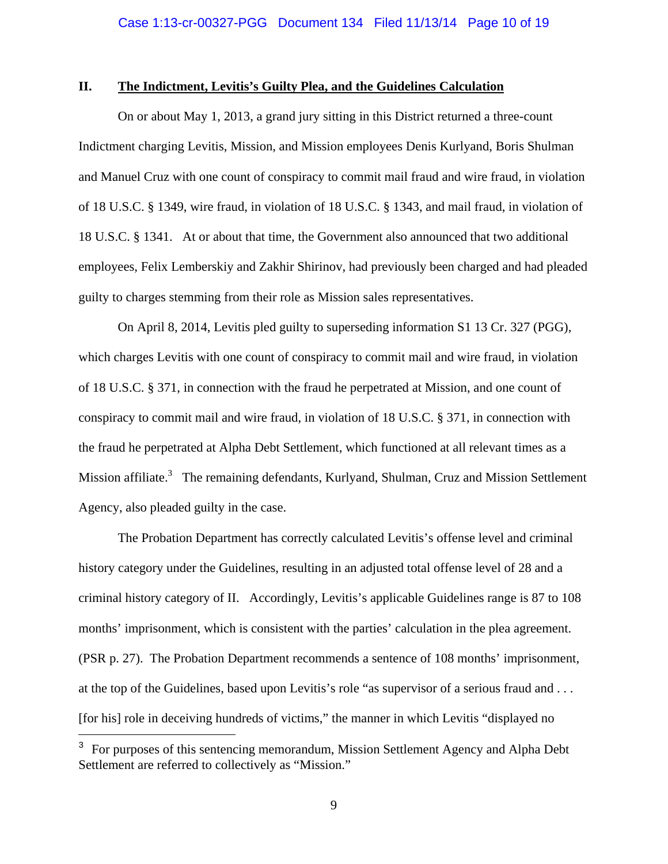### **II. The Indictment, Levitis's Guilty Plea, and the Guidelines Calculation**

On or about May 1, 2013, a grand jury sitting in this District returned a three-count Indictment charging Levitis, Mission, and Mission employees Denis Kurlyand, Boris Shulman and Manuel Cruz with one count of conspiracy to commit mail fraud and wire fraud, in violation of 18 U.S.C. § 1349, wire fraud, in violation of 18 U.S.C. § 1343, and mail fraud, in violation of 18 U.S.C. § 1341. At or about that time, the Government also announced that two additional employees, Felix Lemberskiy and Zakhir Shirinov, had previously been charged and had pleaded guilty to charges stemming from their role as Mission sales representatives.

On April 8, 2014, Levitis pled guilty to superseding information S1 13 Cr. 327 (PGG), which charges Levitis with one count of conspiracy to commit mail and wire fraud, in violation of 18 U.S.C. § 371, in connection with the fraud he perpetrated at Mission, and one count of conspiracy to commit mail and wire fraud, in violation of 18 U.S.C. § 371, in connection with the fraud he perpetrated at Alpha Debt Settlement, which functioned at all relevant times as a Mission affiliate.<sup>3</sup> The remaining defendants, Kurlyand, Shulman, Cruz and Mission Settlement Agency, also pleaded guilty in the case.

The Probation Department has correctly calculated Levitis's offense level and criminal history category under the Guidelines, resulting in an adjusted total offense level of 28 and a criminal history category of II. Accordingly, Levitis's applicable Guidelines range is 87 to 108 months' imprisonment, which is consistent with the parties' calculation in the plea agreement. (PSR p. 27). The Probation Department recommends a sentence of 108 months' imprisonment, at the top of the Guidelines, based upon Levitis's role "as supervisor of a serious fraud and . . . [for his] role in deceiving hundreds of victims," the manner in which Levitis "displayed no

i<br>Li

<sup>&</sup>lt;sup>3</sup> For purposes of this sentencing memorandum, Mission Settlement Agency and Alpha Debt Settlement are referred to collectively as "Mission."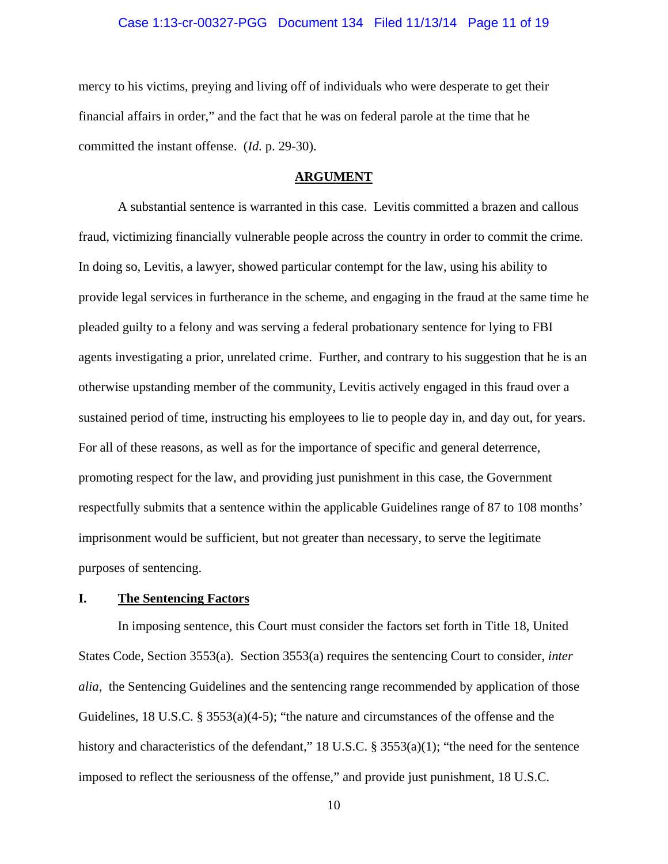### Case 1:13-cr-00327-PGG Document 134 Filed 11/13/14 Page 11 of 19

mercy to his victims, preying and living off of individuals who were desperate to get their financial affairs in order," and the fact that he was on federal parole at the time that he committed the instant offense. (*Id.* p. 29-30).

### **ARGUMENT**

 A substantial sentence is warranted in this case. Levitis committed a brazen and callous fraud, victimizing financially vulnerable people across the country in order to commit the crime. In doing so, Levitis, a lawyer, showed particular contempt for the law, using his ability to provide legal services in furtherance in the scheme, and engaging in the fraud at the same time he pleaded guilty to a felony and was serving a federal probationary sentence for lying to FBI agents investigating a prior, unrelated crime. Further, and contrary to his suggestion that he is an otherwise upstanding member of the community, Levitis actively engaged in this fraud over a sustained period of time, instructing his employees to lie to people day in, and day out, for years. For all of these reasons, as well as for the importance of specific and general deterrence, promoting respect for the law, and providing just punishment in this case, the Government respectfully submits that a sentence within the applicable Guidelines range of 87 to 108 months' imprisonment would be sufficient, but not greater than necessary, to serve the legitimate purposes of sentencing.

## **I. The Sentencing Factors**

In imposing sentence, this Court must consider the factors set forth in Title 18, United States Code, Section 3553(a). Section 3553(a) requires the sentencing Court to consider, *inter alia*, the Sentencing Guidelines and the sentencing range recommended by application of those Guidelines, 18 U.S.C. § 3553(a)(4-5); "the nature and circumstances of the offense and the history and characteristics of the defendant," 18 U.S.C. § 3553(a)(1); "the need for the sentence imposed to reflect the seriousness of the offense," and provide just punishment, 18 U.S.C.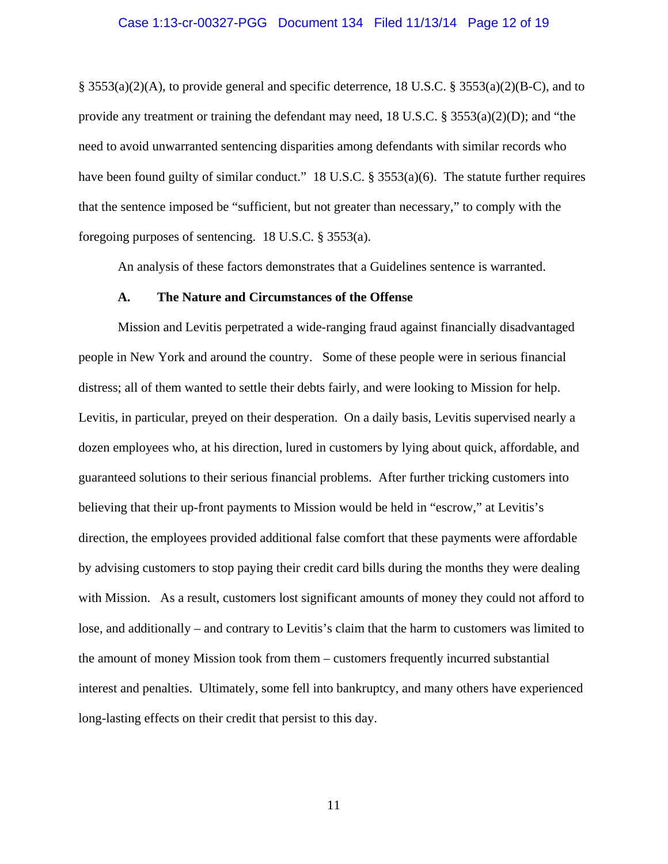### Case 1:13-cr-00327-PGG Document 134 Filed 11/13/14 Page 12 of 19

 $\S$  3553(a)(2)(A), to provide general and specific deterrence, 18 U.S.C.  $\S$  3553(a)(2)(B-C), and to provide any treatment or training the defendant may need,  $18 \text{ U.S.C.}$  §  $3553(a)(2)(D)$ ; and "the need to avoid unwarranted sentencing disparities among defendants with similar records who have been found guilty of similar conduct." 18 U.S.C. § 3553(a)(6). The statute further requires that the sentence imposed be "sufficient, but not greater than necessary," to comply with the foregoing purposes of sentencing. 18 U.S.C. § 3553(a).

An analysis of these factors demonstrates that a Guidelines sentence is warranted.

### **A. The Nature and Circumstances of the Offense**

Mission and Levitis perpetrated a wide-ranging fraud against financially disadvantaged people in New York and around the country. Some of these people were in serious financial distress; all of them wanted to settle their debts fairly, and were looking to Mission for help. Levitis, in particular, preyed on their desperation. On a daily basis, Levitis supervised nearly a dozen employees who, at his direction, lured in customers by lying about quick, affordable, and guaranteed solutions to their serious financial problems. After further tricking customers into believing that their up-front payments to Mission would be held in "escrow," at Levitis's direction, the employees provided additional false comfort that these payments were affordable by advising customers to stop paying their credit card bills during the months they were dealing with Mission. As a result, customers lost significant amounts of money they could not afford to lose, and additionally – and contrary to Levitis's claim that the harm to customers was limited to the amount of money Mission took from them – customers frequently incurred substantial interest and penalties. Ultimately, some fell into bankruptcy, and many others have experienced long-lasting effects on their credit that persist to this day.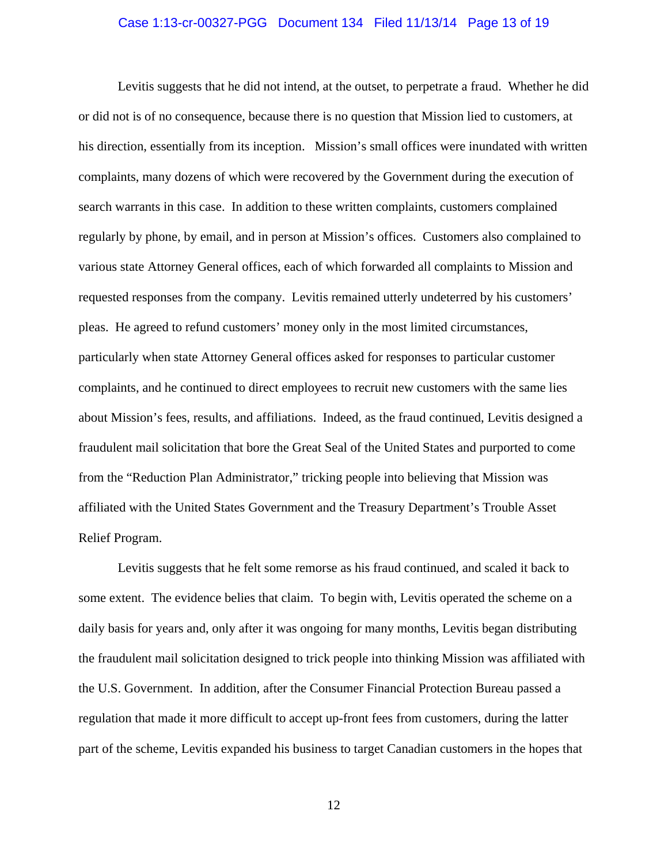### Case 1:13-cr-00327-PGG Document 134 Filed 11/13/14 Page 13 of 19

 Levitis suggests that he did not intend, at the outset, to perpetrate a fraud. Whether he did or did not is of no consequence, because there is no question that Mission lied to customers, at his direction, essentially from its inception. Mission's small offices were inundated with written complaints, many dozens of which were recovered by the Government during the execution of search warrants in this case. In addition to these written complaints, customers complained regularly by phone, by email, and in person at Mission's offices. Customers also complained to various state Attorney General offices, each of which forwarded all complaints to Mission and requested responses from the company. Levitis remained utterly undeterred by his customers' pleas. He agreed to refund customers' money only in the most limited circumstances, particularly when state Attorney General offices asked for responses to particular customer complaints, and he continued to direct employees to recruit new customers with the same lies about Mission's fees, results, and affiliations. Indeed, as the fraud continued, Levitis designed a fraudulent mail solicitation that bore the Great Seal of the United States and purported to come from the "Reduction Plan Administrator," tricking people into believing that Mission was affiliated with the United States Government and the Treasury Department's Trouble Asset Relief Program.

Levitis suggests that he felt some remorse as his fraud continued, and scaled it back to some extent. The evidence belies that claim. To begin with, Levitis operated the scheme on a daily basis for years and, only after it was ongoing for many months, Levitis began distributing the fraudulent mail solicitation designed to trick people into thinking Mission was affiliated with the U.S. Government. In addition, after the Consumer Financial Protection Bureau passed a regulation that made it more difficult to accept up-front fees from customers, during the latter part of the scheme, Levitis expanded his business to target Canadian customers in the hopes that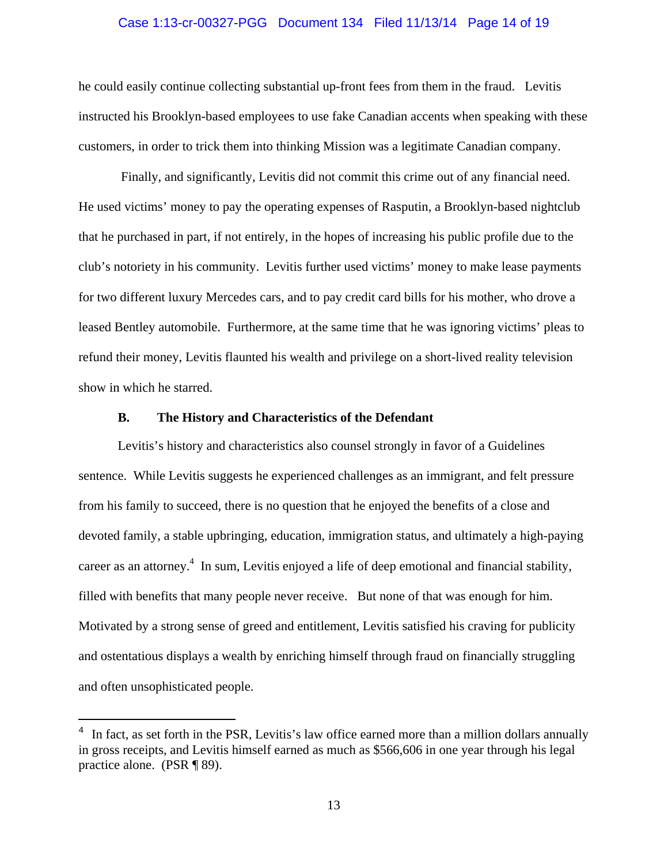### Case 1:13-cr-00327-PGG Document 134 Filed 11/13/14 Page 14 of 19

he could easily continue collecting substantial up-front fees from them in the fraud. Levitis instructed his Brooklyn-based employees to use fake Canadian accents when speaking with these customers, in order to trick them into thinking Mission was a legitimate Canadian company.

 Finally, and significantly, Levitis did not commit this crime out of any financial need. He used victims' money to pay the operating expenses of Rasputin, a Brooklyn-based nightclub that he purchased in part, if not entirely, in the hopes of increasing his public profile due to the club's notoriety in his community. Levitis further used victims' money to make lease payments for two different luxury Mercedes cars, and to pay credit card bills for his mother, who drove a leased Bentley automobile. Furthermore, at the same time that he was ignoring victims' pleas to refund their money, Levitis flaunted his wealth and privilege on a short-lived reality television show in which he starred.

### **B. The History and Characteristics of the Defendant**

i

Levitis's history and characteristics also counsel strongly in favor of a Guidelines sentence. While Levitis suggests he experienced challenges as an immigrant, and felt pressure from his family to succeed, there is no question that he enjoyed the benefits of a close and devoted family, a stable upbringing, education, immigration status, and ultimately a high-paying career as an attorney.<sup>4</sup> In sum, Levitis enjoyed a life of deep emotional and financial stability, filled with benefits that many people never receive. But none of that was enough for him. Motivated by a strong sense of greed and entitlement, Levitis satisfied his craving for publicity and ostentatious displays a wealth by enriching himself through fraud on financially struggling and often unsophisticated people.

In fact, as set forth in the PSR, Levitis's law office earned more than a million dollars annually in gross receipts, and Levitis himself earned as much as \$566,606 in one year through his legal practice alone. (PSR ¶ 89).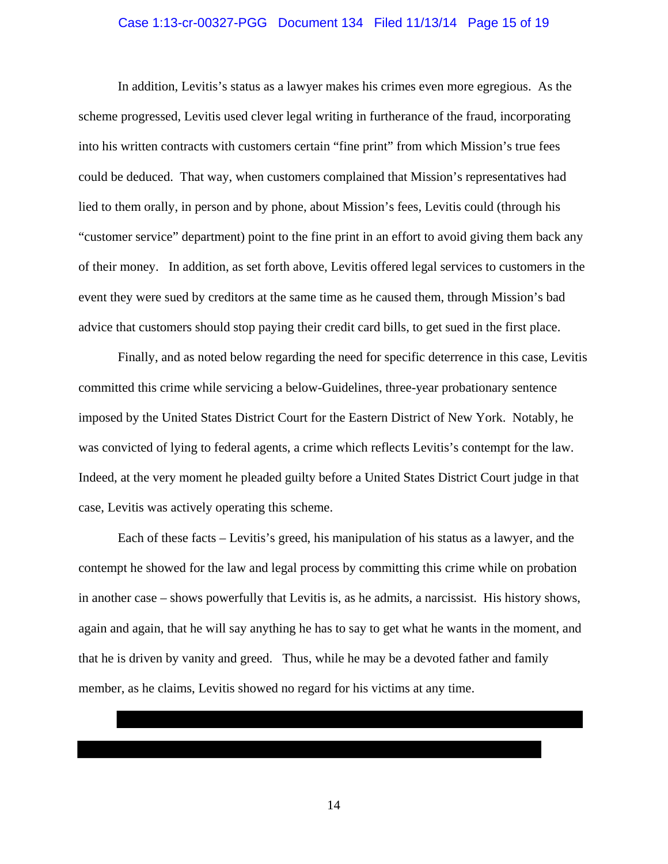#### Case 1:13-cr-00327-PGG Document 134 Filed 11/13/14 Page 15 of 19

In addition, Levitis's status as a lawyer makes his crimes even more egregious. As the scheme progressed, Levitis used clever legal writing in furtherance of the fraud, incorporating into his written contracts with customers certain "fine print" from which Mission's true fees could be deduced. That way, when customers complained that Mission's representatives had lied to them orally, in person and by phone, about Mission's fees, Levitis could (through his "customer service" department) point to the fine print in an effort to avoid giving them back any of their money. In addition, as set forth above, Levitis offered legal services to customers in the event they were sued by creditors at the same time as he caused them, through Mission's bad advice that customers should stop paying their credit card bills, to get sued in the first place.

Finally, and as noted below regarding the need for specific deterrence in this case, Levitis committed this crime while servicing a below-Guidelines, three-year probationary sentence imposed by the United States District Court for the Eastern District of New York. Notably, he was convicted of lying to federal agents, a crime which reflects Levitis's contempt for the law. Indeed, at the very moment he pleaded guilty before a United States District Court judge in that case, Levitis was actively operating this scheme.

Each of these facts – Levitis's greed, his manipulation of his status as a lawyer, and the contempt he showed for the law and legal process by committing this crime while on probation in another case – shows powerfully that Levitis is, as he admits, a narcissist. His history shows, again and again, that he will say anything he has to say to get what he wants in the moment, and that he is driven by vanity and greed. Thus, while he may be a devoted father and family member, as he claims, Levitis showed no regard for his victims at any time.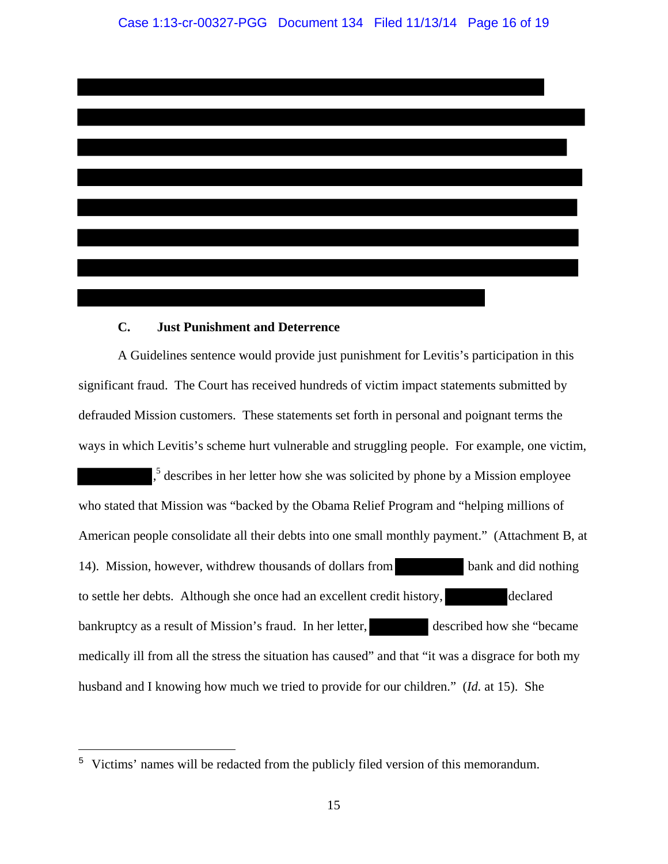

### **C. Just Punishment and Deterrence**

A Guidelines sentence would provide just punishment for Levitis's participation in this significant fraud. The Court has received hundreds of victim impact statements submitted by defrauded Mission customers. These statements set forth in personal and poignant terms the ways in which Levitis's scheme hurt vulnerable and struggling people. For example, one victim, <sup>5</sup> describes in her letter how she was solicited by phone by a Mission employee who stated that Mission was "backed by the Obama Relief Program and "helping millions of American people consolidate all their debts into one small monthly payment." (Attachment B, at 14). Mission, however, withdrew thousands of dollars from bank and did nothing to settle her debts. Although she once had an excellent credit history, declared bankruptcy as a result of Mission's fraud. In her letter, described how she "became" medically ill from all the stress the situation has caused" and that "it was a disgrace for both my husband and I knowing how much we tried to provide for our children." (*Id.* at 15). She

i<br>Li

<sup>&</sup>lt;sup>5</sup> Victims' names will be redacted from the publicly filed version of this memorandum.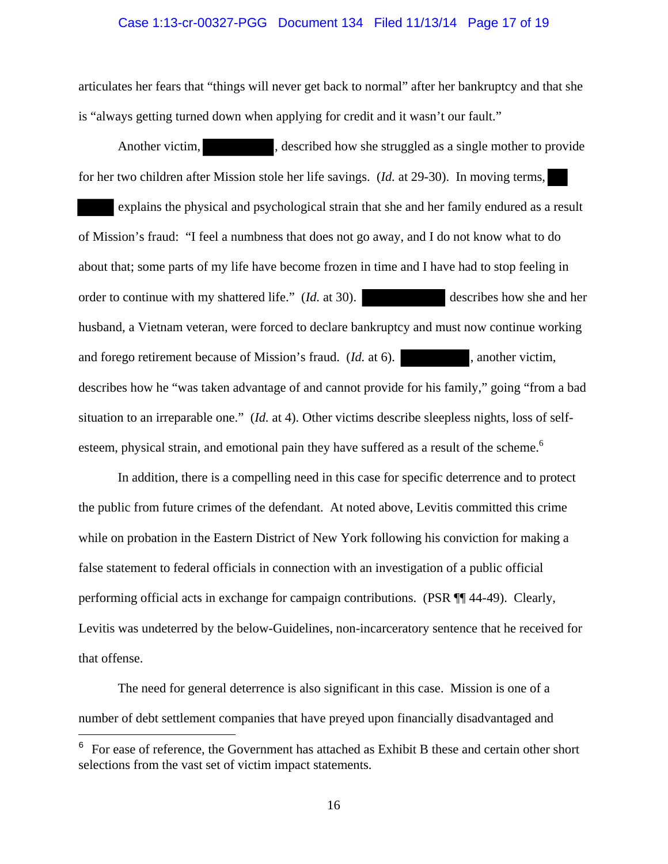### Case 1:13-cr-00327-PGG Document 134 Filed 11/13/14 Page 17 of 19

articulates her fears that "things will never get back to normal" after her bankruptcy and that she is "always getting turned down when applying for credit and it wasn't our fault."

Another victim,  $\qquad \qquad$ , described how she struggled as a single mother to provide for her two children after Mission stole her life savings. (*Id.* at 29-30). In moving terms,

 explains the physical and psychological strain that she and her family endured as a result of Mission's fraud: "I feel a numbness that does not go away, and I do not know what to do about that; some parts of my life have become frozen in time and I have had to stop feeling in order to continue with my shattered life." (*Id.* at 30). describes how she and her husband, a Vietnam veteran, were forced to declare bankruptcy and must now continue working and forego retirement because of Mission's fraud. (*Id.* at 6). , another victim, describes how he "was taken advantage of and cannot provide for his family," going "from a bad situation to an irreparable one." (*Id.* at 4). Other victims describe sleepless nights, loss of selfesteem, physical strain, and emotional pain they have suffered as a result of the scheme.<sup>6</sup>

In addition, there is a compelling need in this case for specific deterrence and to protect the public from future crimes of the defendant. At noted above, Levitis committed this crime while on probation in the Eastern District of New York following his conviction for making a false statement to federal officials in connection with an investigation of a public official performing official acts in exchange for campaign contributions. (PSR ¶¶ 44-49). Clearly, Levitis was undeterred by the below-Guidelines, non-incarceratory sentence that he received for that offense.

The need for general deterrence is also significant in this case. Mission is one of a number of debt settlement companies that have preyed upon financially disadvantaged and

 $\overline{\phantom{0}}$ 

 $6\,$  For ease of reference, the Government has attached as Exhibit B these and certain other short selections from the vast set of victim impact statements.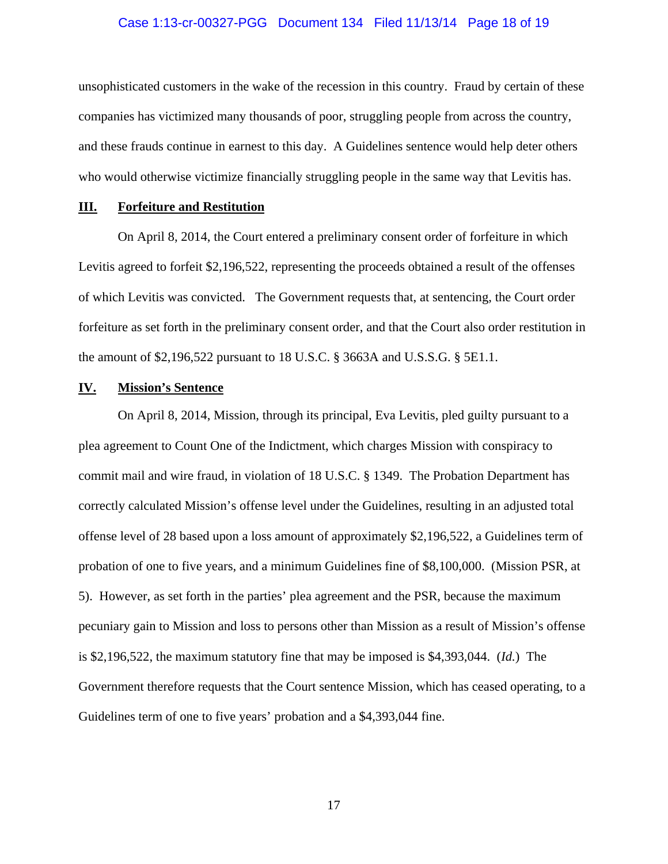### Case 1:13-cr-00327-PGG Document 134 Filed 11/13/14 Page 18 of 19

unsophisticated customers in the wake of the recession in this country. Fraud by certain of these companies has victimized many thousands of poor, struggling people from across the country, and these frauds continue in earnest to this day. A Guidelines sentence would help deter others who would otherwise victimize financially struggling people in the same way that Levitis has.

### **III. Forfeiture and Restitution**

On April 8, 2014, the Court entered a preliminary consent order of forfeiture in which Levitis agreed to forfeit \$2,196,522, representing the proceeds obtained a result of the offenses of which Levitis was convicted. The Government requests that, at sentencing, the Court order forfeiture as set forth in the preliminary consent order, and that the Court also order restitution in the amount of \$2,196,522 pursuant to 18 U.S.C. § 3663A and U.S.S.G. § 5E1.1.

### **IV. Mission's Sentence**

On April 8, 2014, Mission, through its principal, Eva Levitis, pled guilty pursuant to a plea agreement to Count One of the Indictment, which charges Mission with conspiracy to commit mail and wire fraud, in violation of 18 U.S.C. § 1349. The Probation Department has correctly calculated Mission's offense level under the Guidelines, resulting in an adjusted total offense level of 28 based upon a loss amount of approximately \$2,196,522, a Guidelines term of probation of one to five years, and a minimum Guidelines fine of \$8,100,000. (Mission PSR, at 5). However, as set forth in the parties' plea agreement and the PSR, because the maximum pecuniary gain to Mission and loss to persons other than Mission as a result of Mission's offense is \$2,196,522, the maximum statutory fine that may be imposed is \$4,393,044. (*Id.*) The Government therefore requests that the Court sentence Mission, which has ceased operating, to a Guidelines term of one to five years' probation and a \$4,393,044 fine.